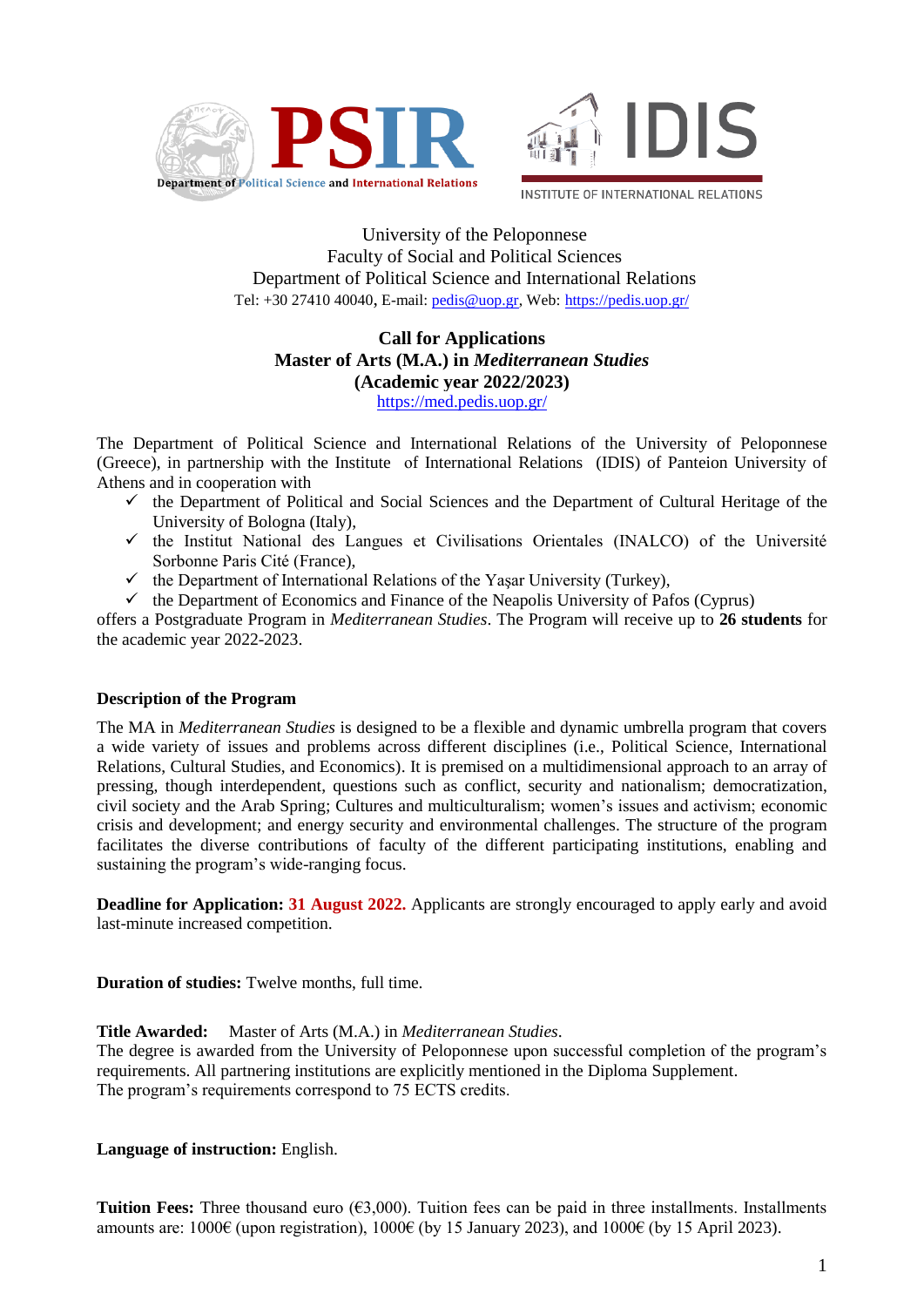



University of the Peloponnese Faculty of Social and Political Sciences Department of Political Science and International Relations Tel: +30 27410 40040, E-mail: [pedis@uop.gr,](mailto:pedis@uop.gr) Web: <https://pedis.uop.gr/>

## **Call for Applications Master of Arts (M.A.) in** *Mediterranean Studies* **(Academic year 2022/2023)** <https://med.pedis.uop.gr/>

The Department of Political Science and International Relations of the University of Peloponnese (Greece), in partnership with the Institute οf International Relations (IDIS) of Panteion University of Athens and in cooperation with

- $\checkmark$  the Department of Political and Social Sciences and the Department of Cultural Heritage of the University of Bologna (Italy),
- $\checkmark$  the Institut National des Langues et Civilisations Orientales (INALCO) of the Université Sorbonne Paris Cité (France),
- $\checkmark$  the Department of International Relations of the Yaşar University (Turkey),
- $\checkmark$  the Department of Economics and Finance of the Neapolis University of Pafos (Cyprus)

offers a Postgraduate Program in *Mediterranean Studies*. The Program will receive up to **26 students** for the academic year 2022-2023.

# **Description of the Program**

The MA in *Mediterranean Studies* is designed to be a flexible and dynamic umbrella program that covers a wide variety of issues and problems across different disciplines (i.e., Political Science, International Relations, Cultural Studies, and Economics). It is premised on a multidimensional approach to an array of pressing, though interdependent, questions such as conflict, security and nationalism; democratization, civil society and the Arab Spring; Cultures and multiculturalism; women's issues and activism; economic crisis and development; and energy security and environmental challenges. The structure of the program facilitates the diverse contributions of faculty of the different participating institutions, enabling and sustaining the program's wide-ranging focus.

**Deadline for Application: 31 August 2022.** Applicants are strongly encouraged to apply early and avoid last-minute increased competition.

**Duration of studies:** Twelve months, full time.

**Title Awarded:** Master of Arts (M.A.) in *Mediterranean Studies*.

The degree is awarded from the University of Peloponnese upon successful completion of the program's requirements. All partnering institutions are explicitly mentioned in the Diploma Supplement. The program's requirements correspond to 75 ECTS credits.

**Language of instruction:** English.

**Tuition Fees:** Three thousand euro  $(63,000)$ . Tuition fees can be paid in three installments. Installments amounts are:  $1000\epsilon$  (upon registration),  $1000\epsilon$  (by 15 January 2023), and  $1000\epsilon$  (by 15 April 2023).